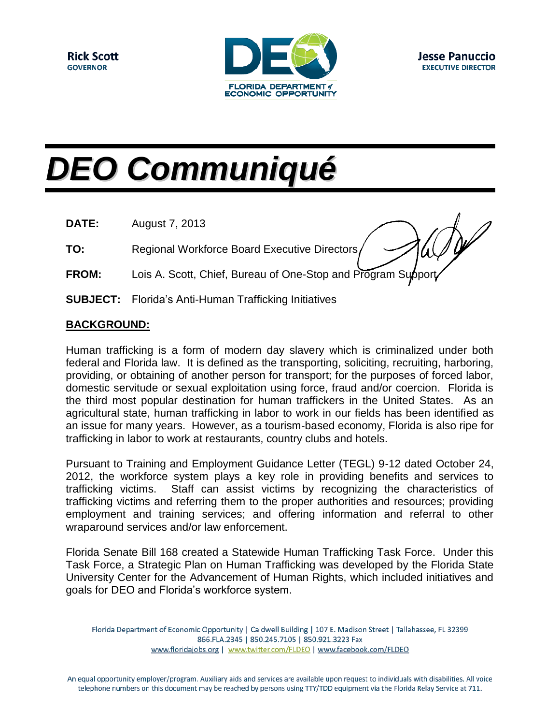

# *DEO Communiqué*

**DATE:** August 7, 2013

**TO:** Regional Workforce Board Executive Directors

- **FROM:** Lois A. Scott, Chief, Bureau of One-Stop and Program Support
- **SUBJECT:** Florida's Anti-Human Trafficking Initiatives

### **BACKGROUND:**

Human trafficking is a form of modern day slavery which is criminalized under both federal and Florida law. It is defined as the transporting, soliciting, recruiting, harboring, providing, or obtaining of another person for transport; for the purposes of forced labor, domestic servitude or sexual exploitation using force, fraud and/or coercion. Florida is the third most popular destination for human traffickers in the United States. As an agricultural state, human trafficking in labor to work in our fields has been identified as an issue for many years. However, as a tourism-based economy, Florida is also ripe for trafficking in labor to work at restaurants, country clubs and hotels.

Pursuant to Training and Employment Guidance Letter (TEGL) 9-12 dated October 24, 2012, the workforce system plays a key role in providing benefits and services to trafficking victims. Staff can assist victims by recognizing the characteristics of trafficking victims and referring them to the proper authorities and resources; providing employment and training services; and offering information and referral to other wraparound services and/or law enforcement.

Florida Senate Bill 168 created a Statewide Human Trafficking Task Force. Under this Task Force, a Strategic Plan on Human Trafficking was developed by the Florida State University Center for the Advancement of Human Rights, which included initiatives and goals for DEO and Florida's workforce system.

Florida Department of Economic Opportunity | Caldwell Building | 107 E. Madison Street | Tallahassee, FL 32399 866.FLA.2345 | 850.245.7105 | 850.921.3223 Fax www.floridajobs.org | www.twitter.com/FLDEO | www.facebook.com/FLDEO

An equal opportunity employer/program. Auxiliary aids and services are available upon request to individuals with disabilities. All voice telephone numbers on this document may be reached by persons using TTY/TDD equipment via the Florida Relay Service at 711.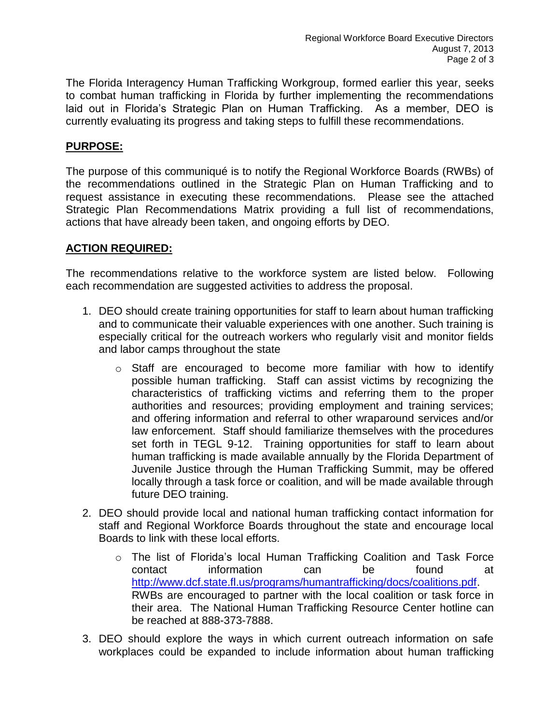The Florida Interagency Human Trafficking Workgroup, formed earlier this year, seeks to combat human trafficking in Florida by further implementing the recommendations laid out in Florida's Strategic Plan on Human Trafficking. As a member, DEO is currently evaluating its progress and taking steps to fulfill these recommendations.

#### **PURPOSE:**

The purpose of this communiqué is to notify the Regional Workforce Boards (RWBs) of the recommendations outlined in the Strategic Plan on Human Trafficking and to request assistance in executing these recommendations. Please see the attached Strategic Plan Recommendations Matrix providing a full list of recommendations, actions that have already been taken, and ongoing efforts by DEO.

### **ACTION REQUIRED:**

The recommendations relative to the workforce system are listed below. Following each recommendation are suggested activities to address the proposal.

- 1. DEO should create training opportunities for staff to learn about human trafficking and to communicate their valuable experiences with one another. Such training is especially critical for the outreach workers who regularly visit and monitor fields and labor camps throughout the state
	- o Staff are encouraged to become more familiar with how to identify possible human trafficking. Staff can assist victims by recognizing the characteristics of trafficking victims and referring them to the proper authorities and resources; providing employment and training services; and offering information and referral to other wraparound services and/or law enforcement. Staff should familiarize themselves with the procedures set forth in TEGL 9-12. Training opportunities for staff to learn about human trafficking is made available annually by the Florida Department of Juvenile Justice through the Human Trafficking Summit, may be offered locally through a task force or coalition, and will be made available through future DEO training.
- 2. DEO should provide local and national human trafficking contact information for staff and Regional Workforce Boards throughout the state and encourage local Boards to link with these local efforts.
	- $\circ$  The list of Florida's local Human Trafficking Coalition and Task Force contact information can be found at [http://www.dcf.state.fl.us/programs/humantrafficking/docs/coalitions.pdf.](http://www.dcf.state.fl.us/programs/humantrafficking/docs/coalitions.pdf) RWBs are encouraged to partner with the local coalition or task force in their area. The National Human Trafficking Resource Center hotline can be reached at 888-373-7888.
- 3. DEO should explore the ways in which current outreach information on safe workplaces could be expanded to include information about human trafficking